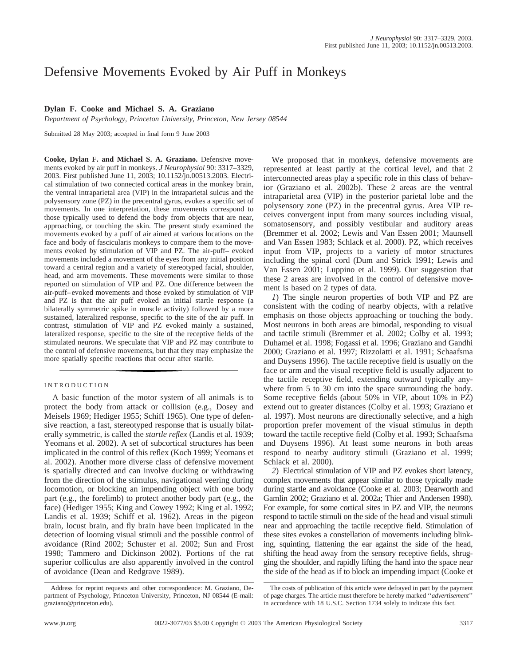# Defensive Movements Evoked by Air Puff in Monkeys

# **Dylan F. Cooke and Michael S. A. Graziano**

*Department of Psychology, Princeton University, Princeton, New Jersey 08544*

Submitted 28 May 2003; accepted in final form 9 June 2003

**Cooke, Dylan F. and Michael S. A. Graziano.** Defensive movements evoked by air puff in monkeys. *J Neurophysiol* 90: 3317–3329, 2003. First published June 11, 2003; 10.1152/jn.00513.2003. Electrical stimulation of two connected cortical areas in the monkey brain, the ventral intraparietal area (VIP) in the intraparietal sulcus and the polysensory zone (PZ) in the precentral gyrus, evokes a specific set of movements. In one interpretation, these movements correspond to those typically used to defend the body from objects that are near, approaching, or touching the skin. The present study examined the movements evoked by a puff of air aimed at various locations on the face and body of fascicularis monkeys to compare them to the movements evoked by stimulation of VIP and PZ. The air-puff– evoked movements included a movement of the eyes from any initial position toward a central region and a variety of stereotyped facial, shoulder, head, and arm movements. These movements were similar to those reported on stimulation of VIP and PZ. One difference between the air-puff–evoked movements and those evoked by stimulation of VIP and PZ is that the air puff evoked an initial startle response (a bilaterally symmetric spike in muscle activity) followed by a more sustained, lateralized response, specific to the site of the air puff. In contrast, stimulation of VIP and PZ evoked mainly a sustained, lateralized response, specific to the site of the receptive fields of the stimulated neurons. We speculate that VIP and PZ may contribute to the control of defensive movements, but that they may emphasize the more spatially specific reactions that occur after startle.

## INTRODUCTION

A basic function of the motor system of all animals is to protect the body from attack or collision (e.g., Dosey and Meisels 1969; Hediger 1955; Schiff 1965). One type of defensive reaction, a fast, stereotyped response that is usually bilaterally symmetric, is called the *startle reflex* (Landis et al. 1939; Yeomans et al. 2002). A set of subcortical structures has been implicated in the control of this reflex (Koch 1999; Yeomans et al. 2002). Another more diverse class of defensive movement is spatially directed and can involve ducking or withdrawing from the direction of the stimulus, navigational veering during locomotion, or blocking an impending object with one body part (e.g., the forelimb) to protect another body part (e.g., the face) (Hediger 1955; King and Cowey 1992; King et al. 1992; Landis et al. 1939; Schiff et al. 1962). Areas in the pigeon brain, locust brain, and fly brain have been implicated in the detection of looming visual stimuli and the possible control of avoidance (Rind 2002; Schuster et al. 2002; Sun and Frost 1998; Tammero and Dickinson 2002). Portions of the rat superior colliculus are also apparently involved in the control of avoidance (Dean and Redgrave 1989).

We proposed that in monkeys, defensive movements are represented at least partly at the cortical level, and that 2 interconnected areas play a specific role in this class of behavior (Graziano et al. 2002b). These 2 areas are the ventral intraparietal area (VIP) in the posterior parietal lobe and the polysensory zone (PZ) in the precentral gyrus. Area VIP receives convergent input from many sources including visual, somatosensory, and possibly vestibular and auditory areas (Bremmer et al. 2002; Lewis and Van Essen 2001; Maunsell and Van Essen 1983; Schlack et al. 2000). PZ, which receives input from VIP, projects to a variety of motor structures including the spinal cord (Dum and Strick 1991; Lewis and Van Essen 2001; Luppino et al. 1999). Our suggestion that these 2 areas are involved in the control of defensive movement is based on 2 types of data.

*1*) The single neuron properties of both VIP and PZ are consistent with the coding of nearby objects, with a relative emphasis on those objects approaching or touching the body. Most neurons in both areas are bimodal, responding to visual and tactile stimuli (Bremmer et al. 2002; Colby et al. 1993; Duhamel et al. 1998; Fogassi et al. 1996; Graziano and Gandhi 2000; Graziano et al. 1997; Rizzolatti et al. 1991; Schaafsma and Duysens 1996). The tactile receptive field is usually on the face or arm and the visual receptive field is usually adjacent to the tactile receptive field, extending outward typically anywhere from 5 to 30 cm into the space surrounding the body. Some receptive fields (about 50% in VIP, about 10% in PZ) extend out to greater distances (Colby et al. 1993; Graziano et al. 1997). Most neurons are directionally selective, and a high proportion prefer movement of the visual stimulus in depth toward the tactile receptive field (Colby et al. 1993; Schaafsma and Duysens 1996). At least some neurons in both areas respond to nearby auditory stimuli (Graziano et al. 1999; Schlack et al. 2000).

*2*) Electrical stimulation of VIP and PZ evokes short latency, complex movements that appear similar to those typically made during startle and avoidance (Cooke et al. 2003; Dearworth and Gamlin 2002; Graziano et al. 2002a; Thier and Andersen 1998). For example, for some cortical sites in PZ and VIP, the neurons respond to tactile stimuli on the side of the head and visual stimuli near and approaching the tactile receptive field. Stimulation of these sites evokes a constellation of movements including blinking, squinting, flattening the ear against the side of the head, shifting the head away from the sensory receptive fields, shrugging the shoulder, and rapidly lifting the hand into the space near the side of the head as if to block an impending impact (Cooke et

Address for reprint requests and other correspondence: M. Graziano, Department of Psychology, Princeton University, Princeton, NJ 08544 (E-mail: graziano@princeton.edu).

The costs of publication of this article were defrayed in part by the payment of page charges. The article must therefore be hereby marked ''*advertisement*'' in accordance with 18 U.S.C. Section 1734 solely to indicate this fact.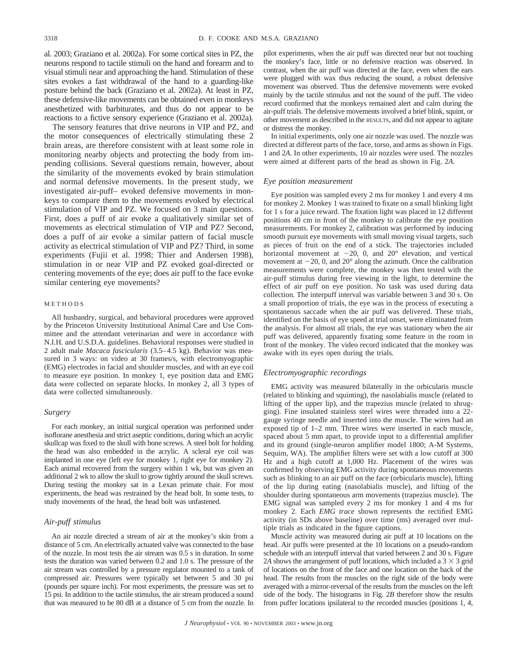al. 2003; Graziano et al. 2002a). For some cortical sites in PZ, the neurons respond to tactile stimuli on the hand and forearm and to visual stimuli near and approaching the hand. Stimulation of these sites evokes a fast withdrawal of the hand to a guarding-like posture behind the back (Graziano et al. 2002a). At least in PZ, these defensive-like movements can be obtained even in monkeys anesthetized with barbiturates, and thus do not appear to be reactions to a fictive sensory experience (Graziano et al. 2002a).

The sensory features that drive neurons in VIP and PZ, and the motor consequences of electrically stimulating these 2 brain areas, are therefore consistent with at least some role in monitoring nearby objects and protecting the body from impending collisions. Several questions remain, however, about the similarity of the movements evoked by brain stimulation and normal defensive movements. In the present study, we investigated air-puff– evoked defensive movements in monkeys to compare them to the movements evoked by electrical stimulation of VIP and PZ. We focused on 3 main questions. First, does a puff of air evoke a qualitatively similar set of movements as electrical stimulation of VIP and PZ? Second, does a puff of air evoke a similar pattern of facial muscle activity as electrical stimulation of VIP and PZ? Third, in some experiments (Fujii et al. 1998; Thier and Andersen 1998), stimulation in or near VIP and PZ evoked goal-directed or centering movements of the eye; does air puff to the face evoke similar centering eye movements?

## METHODS

All husbandry, surgical, and behavioral procedures were approved by the Princeton University Institutional Animal Care and Use Committee and the attendant veterinarian and were in accordance with N.I.H. and U.S.D.A. guidelines. Behavioral responses were studied in 2 adult male *Macaca fascicularis* (3.5–4.5 kg). Behavior was measured in 3 ways: on video at 30 frames/s, with electromyographic (EMG) electrodes in facial and shoulder muscles, and with an eye coil to measure eye position. In monkey 1, eye position data and EMG data were collected on separate blocks. In monkey 2, all 3 types of data were collected simultaneously.

### *Surgery*

For each monkey, an initial surgical operation was performed under isoflorane anesthesia and strict aseptic conditions, during which an acrylic skullcap was fixed to the skull with bone screws. A steel bolt for holding the head was also embedded in the acrylic. A scleral eye coil was implanted in one eye (left eye for monkey 1, right eye for monkey 2). Each animal recovered from the surgery within 1 wk, but was given an additional 2 wk to allow the skull to grow tightly around the skull screws. During testing the monkey sat in a Lexan primate chair. For most experiments, the head was restrained by the head bolt. In some tests, to study movements of the head, the head bolt was unfastened.

## *Air-puff stimulus*

An air nozzle directed a stream of air at the monkey's skin from a distance of 5 cm. An electrically actuated valve was connected to the base of the nozzle. In most tests the air stream was 0.5 s in duration. In some tests the duration was varied between 0.2 and 1.0 s. The pressure of the air stream was controlled by a pressure regulator mounted to a tank of compressed air. Pressures were typically set between 5 and 30 psi (pounds per square inch). For most experiments, the pressure was set to 15 psi. In addition to the tactile stimulus, the air stream produced a sound that was measured to be 80 dB at a distance of 5 cm from the nozzle. In pilot experiments, when the air puff was directed near but not touching the monkey's face, little or no defensive reaction was observed. In contrast, when the air puff was directed at the face, even when the ears were plugged with wax thus reducing the sound, a robust defensive movement was observed. Thus the defensive movements were evoked mainly by the tactile stimulus and not the sound of the puff. The video record confirmed that the monkeys remained alert and calm during the air-puff trials. The defensive movements involved a brief blink, squint, or other movement as described in the RESULTS, and did not appear to agitate or distress the monkey.

In initial experiments, only one air nozzle was used. The nozzle was directed at different parts of the face, torso, and arms as shown in Figs. 1 and 2*A*. In other experiments, 10 air nozzles were used. The nozzles were aimed at different parts of the head as shown in Fig. 2*A*.

#### *Eye position measurement*

Eye position was sampled every 2 ms for monkey 1 and every 4 ms for monkey 2. Monkey 1 was trained to fixate on a small blinking light for 1 s for a juice reward. The fixation light was placed in 12 different positions 40 cm in front of the monkey to calibrate the eye position measurements. For monkey 2, calibration was performed by inducing smooth pursuit eye movements with small moving visual targets, such as pieces of fruit on the end of a stick. The trajectories included horizontal movement at  $-20$ , 0, and  $20^{\circ}$  elevation, and vertical movement at  $-20$ , 0, and  $20^{\circ}$  along the azimuth. Once the calibration measurements were complete, the monkey was then tested with the air-puff stimulus during free viewing in the light, to determine the effect of air puff on eye position. No task was used during data collection. The interpuff interval was variable between 3 and 30 s. On a small proportion of trials, the eye was in the process of executing a spontaneous saccade when the air puff was delivered. These trials, identified on the basis of eye speed at trial onset, were eliminated from the analysis. For almost all trials, the eye was stationary when the air puff was delivered, apparently fixating some feature in the room in front of the monkey. The video record indicated that the monkey was awake with its eyes open during the trials.

#### *Electromyographic recordings*

EMG activity was measured bilaterally in the orbicularis muscle (related to blinking and squinting), the nasolabialis muscle (related to lifting of the upper lip), and the trapezius muscle (related to shrugging). Fine insulated stainless steel wires were threaded into a 22 gauge syringe needle and inserted into the muscle. The wires had an exposed tip of 1–2 mm. Three wires were inserted in each muscle, spaced about 5 mm apart, to provide input to a differential amplifier and its ground (single-neuron amplifier model 1800; A-M Systems, Sequim, WA). The amplifier filters were set with a low cutoff at 300 Hz and a high cutoff at 1,000 Hz. Placement of the wires was confirmed by observing EMG activity during spontaneous movements such as blinking to an air puff on the face (orbicularis muscle), lifting of the lip during eating (nasolabialis muscle), and lifting of the shoulder during spontaneous arm movements (trapezius muscle). The EMG signal was sampled every 2 ms for monkey 1 and 4 ms for monkey 2. Each *EMG trace* shown represents the rectified EMG activity (in SDs above baseline) over time (ms) averaged over multiple trials as indicated in the figure captions.

Muscle activity was measured during air puff at 10 locations on the head. Air puffs were presented at the 10 locations on a pseudo-random schedule with an interpuff interval that varied between 2 and 30 s. Figure 2A shows the arrangement of puff locations, which included a  $3 \times 3$  grid of locations on the front of the face and one location on the back of the head. The results from the muscles on the right side of the body were averaged with a mirror-reversal of the results from the muscles on the left side of the body. The histograms in Fig. 2*B* therefore show the results from puffer locations ipsilateral to the recorded muscles (positions 1, 4,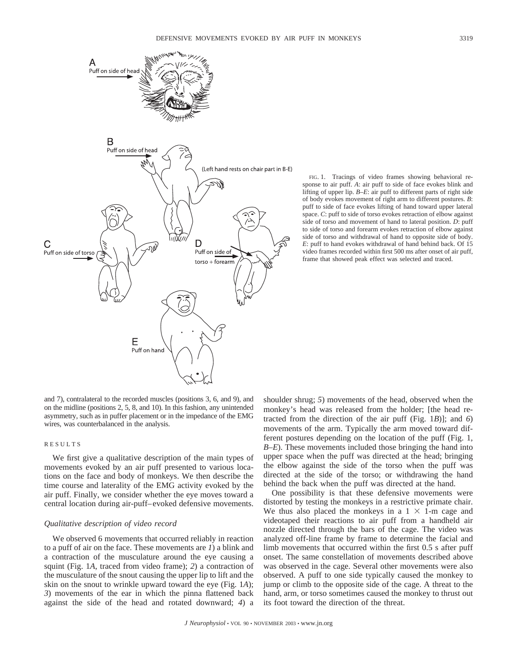

FIG. 1. Tracings of video frames showing behavioral response to air puff. *A*: air puff to side of face evokes blink and lifting of upper lip. *B–E*: air puff to different parts of right side of body evokes movement of right arm to different postures. *B*: puff to side of face evokes lifting of hand toward upper lateral space. *C*: puff to side of torso evokes retraction of elbow against side of torso and movement of hand to lateral position. *D*: puff to side of torso and forearm evokes retraction of elbow against side of torso and withdrawal of hand to opposite side of body. *E*: puff to hand evokes withdrawal of hand behind back. Of 15 video frames recorded within first 500 ms after onset of air puff, frame that showed peak effect was selected and traced.

and 7), contralateral to the recorded muscles (positions 3, 6, and 9), and on the midline (positions 2, 5, 8, and 10). In this fashion, any unintended asymmetry, such as in puffer placement or in the impedance of the EMG wires, was counterbalanced in the analysis.

## RESULTS

We first give a qualitative description of the main types of movements evoked by an air puff presented to various locations on the face and body of monkeys. We then describe the time course and laterality of the EMG activity evoked by the air puff. Finally, we consider whether the eye moves toward a central location during air-puff–evoked defensive movements.

### *Qualitative description of video record*

We observed 6 movements that occurred reliably in reaction to a puff of air on the face. These movements are *1*) a blink and a contraction of the musculature around the eye causing a squint (Fig. 1*A*, traced from video frame); *2*) a contraction of the musculature of the snout causing the upper lip to lift and the skin on the snout to wrinkle upward toward the eye (Fig. 1*A*); *3*) movements of the ear in which the pinna flattened back against the side of the head and rotated downward; *4*) a shoulder shrug; *5*) movements of the head, observed when the monkey's head was released from the holder; [the head retracted from the direction of the air puff (Fig. 1*B*)]; and *6*) movements of the arm. Typically the arm moved toward different postures depending on the location of the puff (Fig. 1, *B–E*). These movements included those bringing the hand into upper space when the puff was directed at the head; bringing the elbow against the side of the torso when the puff was directed at the side of the torso; or withdrawing the hand behind the back when the puff was directed at the hand.

One possibility is that these defensive movements were distorted by testing the monkeys in a restrictive primate chair. We thus also placed the monkeys in a  $1 \times 1$ -m cage and videotaped their reactions to air puff from a handheld air nozzle directed through the bars of the cage. The video was analyzed off-line frame by frame to determine the facial and limb movements that occurred within the first 0.5 s after puff onset. The same constellation of movements described above was observed in the cage. Several other movements were also observed. A puff to one side typically caused the monkey to jump or climb to the opposite side of the cage. A threat to the hand, arm, or torso sometimes caused the monkey to thrust out its foot toward the direction of the threat.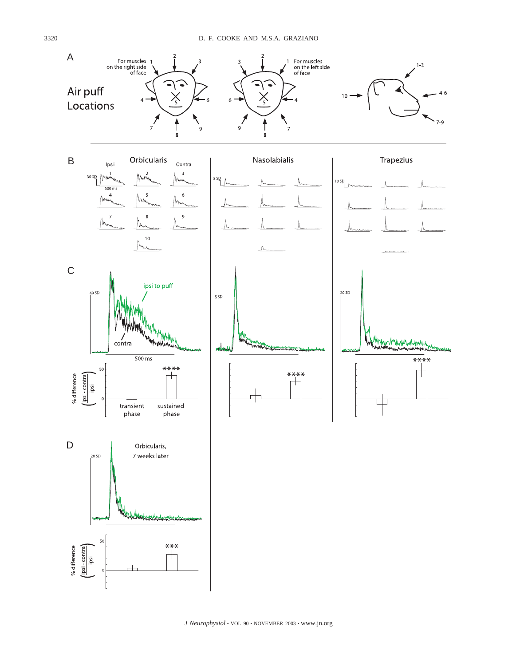

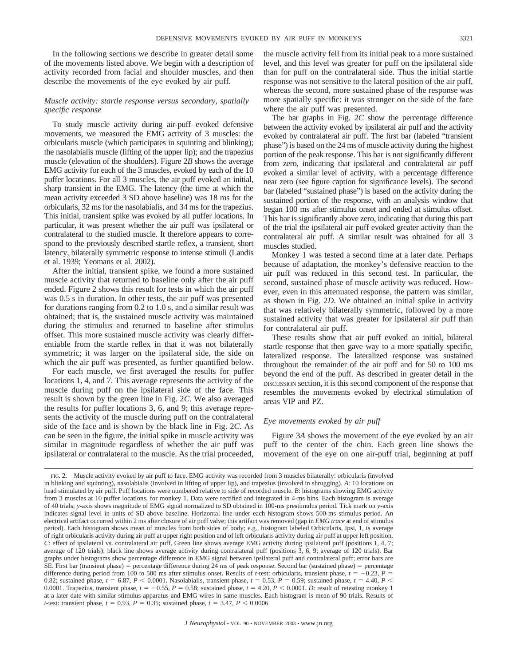In the following sections we describe in greater detail some of the movements listed above. We begin with a description of activity recorded from facial and shoulder muscles, and then describe the movements of the eye evoked by air puff.

## *Muscle activity: startle response versus secondary, spatially specific response*

To study muscle activity during air-puff–evoked defensive movements, we measured the EMG activity of 3 muscles: the orbicularis muscle (which participates in squinting and blinking); the nasolabialis muscle (lifting of the upper lip); and the trapezius muscle (elevation of the shoulders). Figure 2*B* shows the average EMG activity for each of the 3 muscles, evoked by each of the 10 puffer locations. For all 3 muscles, the air puff evoked an initial, sharp transient in the EMG. The latency (the time at which the mean activity exceeded 3 SD above baseline) was 18 ms for the orbicularis, 32 ms for the nasolabialis, and 34 ms for the trapezius. This initial, transient spike was evoked by all puffer locations. In particular, it was present whether the air puff was ipsilateral or contralateral to the studied muscle. It therefore appears to correspond to the previously described startle reflex, a transient, short latency, bilaterally symmetric response to intense stimuli (Landis et al. 1939; Yeomans et al. 2002).

After the initial, transient spike, we found a more sustained muscle activity that returned to baseline only after the air puff ended. Figure 2 shows this result for tests in which the air puff was 0.5 s in duration. In other tests, the air puff was presented for durations ranging from 0.2 to 1.0 s, and a similar result was obtained; that is, the sustained muscle activity was maintained during the stimulus and returned to baseline after stimulus offset. This more sustained muscle activity was clearly differentiable from the startle reflex in that it was not bilaterally symmetric; it was larger on the ipsilateral side, the side on which the air puff was presented, as further quantified below.

For each muscle, we first averaged the results for puffer locations 1, 4, and 7. This average represents the activity of the muscle during puff on the ipsilateral side of the face. This result is shown by the green line in Fig. 2*C*. We also averaged the results for puffer locations 3, 6, and 9; this average represents the activity of the muscle during puff on the contralateral side of the face and is shown by the black line in Fig. 2*C*. As can be seen in the figure, the initial spike in muscle activity was similar in magnitude regardless of whether the air puff was ipsilateral or contralateral to the muscle. As the trial proceeded, the muscle activity fell from its initial peak to a more sustained level, and this level was greater for puff on the ipsilateral side than for puff on the contralateral side. Thus the initial startle response was not sensitive to the lateral position of the air puff, whereas the second, more sustained phase of the response was more spatially specific: it was stronger on the side of the face where the air puff was presented.

The bar graphs in Fig. 2*C* show the percentage difference between the activity evoked by ipsilateral air puff and the activity evoked by contralateral air puff. The first bar (labeled "transient phase") is based on the 24 ms of muscle activity during the highest portion of the peak response. This bar is not significantly different from zero, indicating that ipsilateral and contralateral air puff evoked a similar level of activity, with a percentage difference near zero (see figure caption for significance levels). The second bar (labeled "sustained phase") is based on the activity during the sustained portion of the response, with an analysis window that began 100 ms after stimulus onset and ended at stimulus offset. This bar is significantly above zero, indicating that during this part of the trial the ipsilateral air puff evoked greater activity than the contralateral air puff. A similar result was obtained for all 3 muscles studied.

Monkey 1 was tested a second time at a later date. Perhaps because of adaptation, the monkey's defensive reaction to the air puff was reduced in this second test. In particular, the second, sustained phase of muscle activity was reduced. However, even in this attenuated response, the pattern was similar, as shown in Fig. 2*D*. We obtained an initial spike in activity that was relatively bilaterally symmetric, followed by a more sustained activity that was greater for ipsilateral air puff than for contralateral air puff.

These results show that air puff evoked an initial, bilateral startle response that then gave way to a more spatially specific, lateralized response. The lateralized response was sustained throughout the remainder of the air puff and for 50 to 100 ms beyond the end of the puff. As described in greater detail in the DISCUSSION section, it is this second component of the response that resembles the movements evoked by electrical stimulation of areas VIP and PZ.

## *Eye movements evoked by air puff*

Figure 3*A* shows the movement of the eye evoked by an air puff to the center of the chin. Each green line shows the movement of the eye on one air-puff trial, beginning at puff

FIG. 2. Muscle activity evoked by air puff to face. EMG activity was recorded from 3 muscles bilaterally: orbicularis (involved in blinking and squinting), nasolabialis (involved in lifting of upper lip), and trapezius (involved in shrugging). *A*: 10 locations on head stimulated by air puff. Puff locations were numbered relative to side of recorded muscle. *B*: histograms showing EMG activity from 3 muscles at 10 puffer locations, for monkey 1. Data were rectified and integrated in 4-ms bins. Each histogram is average of 40 trials; *y*-axis shows magnitude of EMG signal normalized to SD obtained in 100-ms prestimulus period. Tick mark on *y*-axis indicates signal level in units of SD above baseline. Horizontal line under each histogram shows 500-ms stimulus period. An electrical artifact occurred within 2 ms after closure of air puff valve; this artifact was removed (gap in *EMG trace* at end of stimulus period). Each histogram shows mean of muscles from both sides of body; e.g., histogram labeled Orbicularis, Ipsi, 1, is average of right orbicularis activity during air puff at upper right position and of left orbicularis activity during air puff at upper left position. *C*: effect of ipsilateral vs. contralateral air puff. Green line shows average EMG activity during ipsilateral puff (positions 1, 4, 7; average of 120 trials); black line shows average activity during contralateral puff (positions 3, 6, 9; average of 120 trials). Bar graphs under histograms show percentage difference in EMG signal between ipsilateral puff and contralateral puff; error bars are SE. First bar (transient phase) = percentage difference during 24 ms of peak response. Second bar (sustained phase) = percentage difference during period from 100 to 500 ms after stimulus onset. Results of *t*-test: orbicularis, transient phase,  $t = -0.23$ ,  $P =$ 0.82; sustained phase,  $t = 6.87$ ,  $P < 0.0001$ . Nasolabialis, transient phase,  $t = 0.53$ ,  $P = 0.59$ ; sustained phase,  $t = 4.40$ ,  $P <$ 0.0001. Trapezius, transient phase,  $t = -0.55$ ,  $P = 0.58$ ; sustained phase,  $t = 4.20$ ,  $P \le 0.0001$ . *D*: result of retesting monkey 1 at a later date with similar stimulus apparatus and EMG wires in same muscles. Each histogram is mean of 90 trials. Results of *t*-test: transient phase,  $t = 0.93$ ,  $P = 0.35$ ; sustained phase,  $t = 3.47$ ,  $P < 0.0006$ .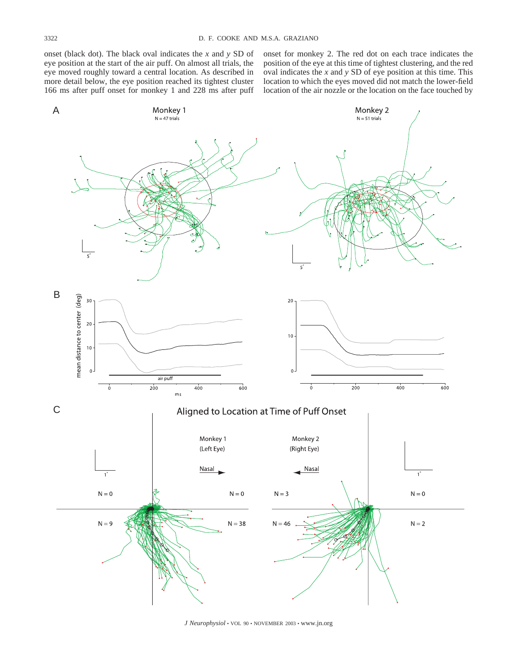onset (black dot). The black oval indicates the *x* and *y* SD of eye position at the start of the air puff. On almost all trials, the eye moved roughly toward a central location. As described in more detail below, the eye position reached its tightest cluster 166 ms after puff onset for monkey 1 and 228 ms after puff onset for monkey 2. The red dot on each trace indicates the position of the eye at this time of tightest clustering, and the red oval indicates the *x* and *y* SD of eye position at this time. This location to which the eyes moved did not match the lower-field location of the air nozzle or the location on the face touched by



*J Neurophysiol* • VOL 90 • NOVEMBER 2003 • www.jn.org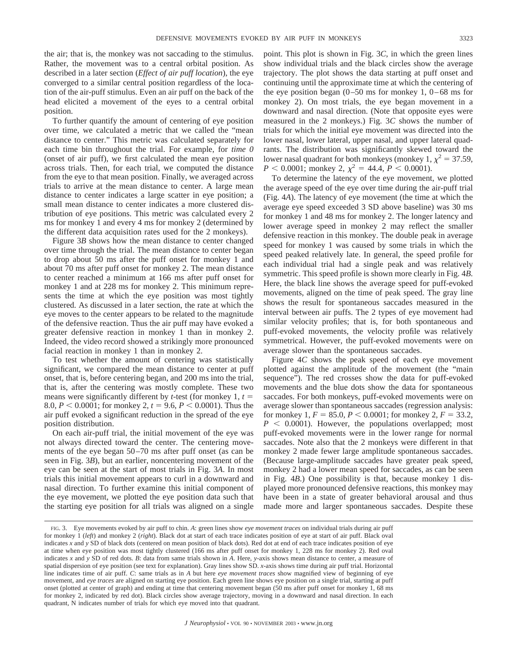the air; that is, the monkey was not saccading to the stimulus. Rather, the movement was to a central orbital position. As described in a later section (*Effect of air puff location*), the eye converged to a similar central position regardless of the location of the air-puff stimulus. Even an air puff on the back of the head elicited a movement of the eyes to a central orbital position.

To further quantify the amount of centering of eye position over time, we calculated a metric that we called the "mean distance to center." This metric was calculated separately for each time bin throughout the trial. For example, for *time 0* (onset of air puff), we first calculated the mean eye position across trials. Then, for each trial, we computed the distance from the eye to that mean position. Finally, we averaged across trials to arrive at the mean distance to center. A large mean distance to center indicates a large scatter in eye position; a small mean distance to center indicates a more clustered distribution of eye positions. This metric was calculated every 2 ms for monkey 1 and every 4 ms for monkey 2 (determined by the different data acquisition rates used for the 2 monkeys).

Figure 3*B* shows how the mean distance to center changed over time through the trial. The mean distance to center began to drop about 50 ms after the puff onset for monkey 1 and about 70 ms after puff onset for monkey 2. The mean distance to center reached a minimum at 166 ms after puff onset for monkey 1 and at 228 ms for monkey 2. This minimum represents the time at which the eye position was most tightly clustered. As discussed in a later section, the rate at which the eye moves to the center appears to be related to the magnitude of the defensive reaction. Thus the air puff may have evoked a greater defensive reaction in monkey 1 than in monkey 2. Indeed, the video record showed a strikingly more pronounced facial reaction in monkey 1 than in monkey 2.

To test whether the amount of centering was statistically significant, we compared the mean distance to center at puff onset, that is, before centering began, and 200 ms into the trial, that is, after the centering was mostly complete. These two means were significantly different by *t*-test (for monkey 1, *t* 8.0,  $P < 0.0001$ ; for monkey 2,  $t = 9.6$ ,  $P < 0.0001$ ). Thus the air puff evoked a significant reduction in the spread of the eye position distribution.

On each air-puff trial, the initial movement of the eye was not always directed toward the center. The centering movements of the eye began 50–70 ms after puff onset (as can be seen in Fig. 3*B*), but an earlier, noncentering movement of the eye can be seen at the start of most trials in Fig. 3*A*. In most trials this initial movement appears to curl in a downward and nasal direction. To further examine this initial component of the eye movement, we plotted the eye position data such that the starting eye position for all trials was aligned on a single point. This plot is shown in Fig. 3*C*, in which the green lines show individual trials and the black circles show the average trajectory. The plot shows the data starting at puff onset and continuing until the approximate time at which the centering of the eye position began  $(0-50 \text{ ms}$  for monkey 1,  $0-68 \text{ ms}$  for monkey 2). On most trials, the eye began movement in a downward and nasal direction. (Note that opposite eyes were measured in the 2 monkeys.) Fig. 3*C* shows the number of trials for which the initial eye movement was directed into the lower nasal, lower lateral, upper nasal, and upper lateral quadrants. The distribution was significantly skewed toward the lower nasal quadrant for both monkeys (monkey 1,  $\chi^2 = 37.59$ ,  $P < 0.0001$ ; monkey 2,  $\chi^2 = 44.4$ ,  $P < 0.0001$ ).

To determine the latency of the eye movement, we plotted the average speed of the eye over time during the air-puff trial (Fig. 4*A*). The latency of eye movement (the time at which the average eye speed exceeded 3 SD above baseline) was 30 ms for monkey 1 and 48 ms for monkey 2. The longer latency and lower average speed in monkey 2 may reflect the smaller defensive reaction in this monkey. The double peak in average speed for monkey 1 was caused by some trials in which the speed peaked relatively late. In general, the speed profile for each individual trial had a single peak and was relatively symmetric. This speed profile is shown more clearly in Fig. 4*B*. Here, the black line shows the average speed for puff-evoked movements, aligned on the time of peak speed. The gray line shows the result for spontaneous saccades measured in the interval between air puffs. The 2 types of eye movement had similar velocity profiles; that is, for both spontaneous and puff-evoked movements, the velocity profile was relatively symmetrical. However, the puff-evoked movements were on average slower than the spontaneous saccades.

Figure 4*C* shows the peak speed of each eye movement plotted against the amplitude of the movement (the "main sequence"). The red crosses show the data for puff-evoked movements and the blue dots show the data for spontaneous saccades. For both monkeys, puff-evoked movements were on average slower than spontaneous saccades (regression analysis: for monkey 1,  $F = 85.0$ ,  $P < 0.0001$ ; for monkey 2,  $F = 33.2$ ,  $P \n\leq 0.0001$ ). However, the populations overlapped; most puff-evoked movements were in the lower range for normal saccades. Note also that the 2 monkeys were different in that monkey 2 made fewer large amplitude spontaneous saccades. (Because large-amplitude saccades have greater peak speed, monkey 2 had a lower mean speed for saccades, as can be seen in Fig. 4*B*.) One possibility is that, because monkey 1 displayed more pronounced defensive reactions, this monkey may have been in a state of greater behavioral arousal and thus made more and larger spontaneous saccades. Despite these

FIG. 3. Eye movements evoked by air puff to chin. *A*: green lines show *eye movement traces* on individual trials during air puff for monkey 1 (*left*) and monkey 2 (*right*). Black dot at start of each trace indicates position of eye at start of air puff. Black oval indicates *x* and *y* SD of black dots (centered on mean position of black dots). Red dot at end of each trace indicates position of eye at time when eye position was most tightly clustered (166 ms after puff onset for monkey 1, 228 ms for monkey 2). Red oval indicates *x* and *y* SD of red dots. *B*: data from same trials shown in *A*. Here, *y*-axis shows mean distance to center, a measure of spatial dispersion of eye position (see text for explanation). Gray lines show SD. *x*-axis shows time during air puff trial. Horizontal line indicates time of air puff. *C*: same trials as in *A* but here *eye movement traces* show magnified view of beginning of eye movement, and *eye traces* are aligned on starting eye position. Each green line shows eye position on a single trial, starting at puff onset (plotted at center of graph) and ending at time that centering movement began (50 ms after puff onset for monkey 1, 68 ms for monkey 2, indicated by red dot). Black circles show average trajectory, moving in a downward and nasal direction. In each quadrant, N indicates number of trials for which eye moved into that quadrant.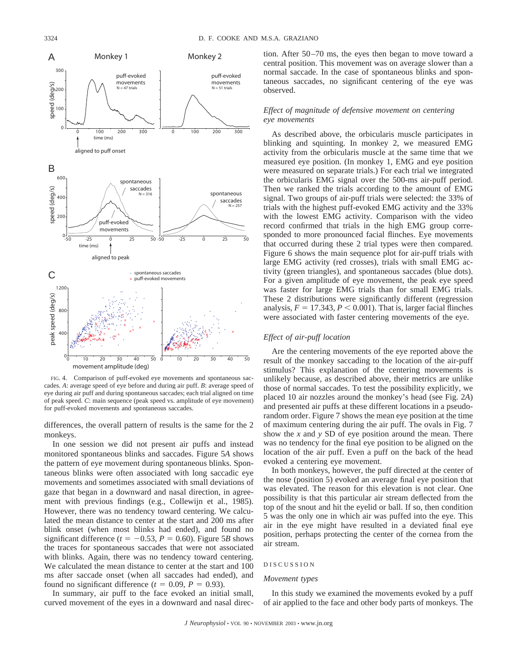

FIG. 4. Comparison of puff-evoked eye movements and spontaneous saccades. *A*: average speed of eye before and during air puff. *B*: average speed of eye during air puff and during spontaneous saccades; each trial aligned on time of peak speed. *C*: main sequence (peak speed vs. amplitude of eye movement) for puff-evoked movements and spontaneous saccades.

differences, the overall pattern of results is the same for the 2 monkeys.

In one session we did not present air puffs and instead monitored spontaneous blinks and saccades. Figure 5*A* shows the pattern of eye movement during spontaneous blinks. Spontaneous blinks were often associated with long saccadic eye movements and sometimes associated with small deviations of gaze that began in a downward and nasal direction, in agreement with previous findings (e.g., Collewijn et al., 1985). However, there was no tendency toward centering. We calculated the mean distance to center at the start and 200 ms after blink onset (when most blinks had ended), and found no significant difference ( $t = -0.53$ ,  $P = 0.60$ ). Figure 5*B* shows the traces for spontaneous saccades that were not associated with blinks. Again, there was no tendency toward centering. We calculated the mean distance to center at the start and 100 ms after saccade onset (when all saccades had ended), and found no significant difference  $(t = 0.09, P = 0.93)$ .

In summary, air puff to the face evoked an initial small, curved movement of the eyes in a downward and nasal direction. After 50–70 ms, the eyes then began to move toward a central position. This movement was on average slower than a normal saccade. In the case of spontaneous blinks and spontaneous saccades, no significant centering of the eye was observed.

## *Effect of magnitude of defensive movement on centering eye movements*

As described above, the orbicularis muscle participates in blinking and squinting. In monkey 2, we measured EMG activity from the orbicularis muscle at the same time that we measured eye position. (In monkey 1, EMG and eye position were measured on separate trials.) For each trial we integrated the orbicularis EMG signal over the 500-ms air-puff period. Then we ranked the trials according to the amount of EMG signal. Two groups of air-puff trials were selected: the 33% of trials with the highest puff-evoked EMG activity and the 33% with the lowest EMG activity. Comparison with the video record confirmed that trials in the high EMG group corresponded to more pronounced facial flinches. Eye movements that occurred during these 2 trial types were then compared. Figure 6 shows the main sequence plot for air-puff trials with large EMG activity (red crosses), trials with small EMG activity (green triangles), and spontaneous saccades (blue dots). For a given amplitude of eye movement, the peak eye speed was faster for large EMG trials than for small EMG trials. These 2 distributions were significantly different (regression analysis,  $F = 17.343$ ,  $P < 0.001$ ). That is, larger facial flinches were associated with faster centering movements of the eye.

## *Effect of air-puff location*

Are the centering movements of the eye reported above the result of the monkey saccading to the location of the air-puff stimulus? This explanation of the centering movements is unlikely because, as described above, their metrics are unlike those of normal saccades. To test the possibility explicitly, we placed 10 air nozzles around the monkey's head (see Fig. 2*A*) and presented air puffs at these different locations in a pseudorandom order. Figure 7 shows the mean eye position at the time of maximum centering during the air puff. The ovals in Fig. 7 show the *x* and *y* SD of eye position around the mean. There was no tendency for the final eye position to be aligned on the location of the air puff. Even a puff on the back of the head evoked a centering eye movement.

In both monkeys, however, the puff directed at the center of the nose (position 5) evoked an average final eye position that was elevated. The reason for this elevation is not clear. One possibility is that this particular air stream deflected from the top of the snout and hit the eyelid or ball. If so, then condition 5 was the only one in which air was puffed into the eye. This air in the eye might have resulted in a deviated final eye position, perhaps protecting the center of the cornea from the air stream.

#### DISCUSSION

## *Movement types*

In this study we examined the movements evoked by a puff of air applied to the face and other body parts of monkeys. The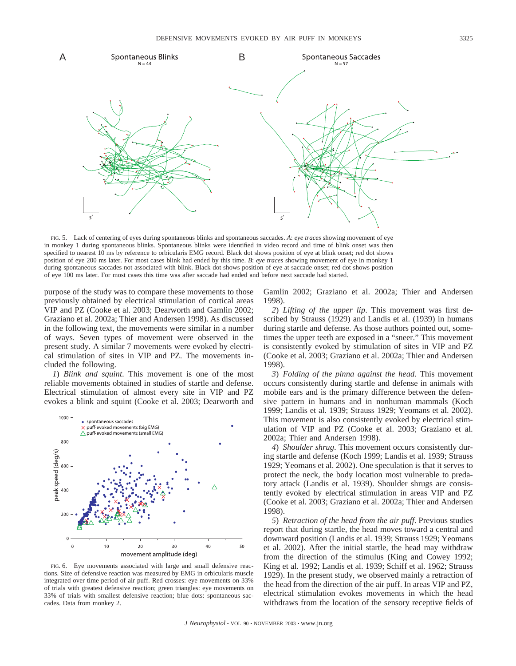



FIG. 5. Lack of centering of eyes during spontaneous blinks and spontaneous saccades. *A*: *eye traces* showing movement of eye in monkey 1 during spontaneous blinks. Spontaneous blinks were identified in video record and time of blink onset was then specified to nearest 10 ms by reference to orbicularis EMG record. Black dot shows position of eye at blink onset; red dot shows position of eye 200 ms later. For most cases blink had ended by this time. *B*: *eye traces* showing movement of eye in monkey 1 during spontaneous saccades not associated with blink. Black dot shows position of eye at saccade onset; red dot shows position of eye 100 ms later. For most cases this time was after saccade had ended and before next saccade had started.

purpose of the study was to compare these movements to those previously obtained by electrical stimulation of cortical areas VIP and PZ (Cooke et al. 2003; Dearworth and Gamlin 2002; Graziano et al. 2002a; Thier and Andersen 1998). As discussed in the following text, the movements were similar in a number of ways. Seven types of movement were observed in the present study. A similar 7 movements were evoked by electrical stimulation of sites in VIP and PZ. The movements included the following.

*1*) *Blink and squint*. This movement is one of the most reliable movements obtained in studies of startle and defense. Electrical stimulation of almost every site in VIP and PZ evokes a blink and squint (Cooke et al. 2003; Dearworth and



FIG. 6. Eye movements associated with large and small defensive reactions. Size of defensive reaction was measured by EMG in orbicularis muscle integrated over time period of air puff. Red crosses: eye movements on 33% of trials with greatest defensive reaction; green triangles: eye movements on 33% of trials with smallest defensive reaction; blue dots: spontaneous saccades. Data from monkey 2.

Gamlin 2002; Graziano et al. 2002a; Thier and Andersen 1998).

*2*) *Lifting of the upper lip*. This movement was first described by Strauss (1929) and Landis et al. (1939) in humans during startle and defense. As those authors pointed out, sometimes the upper teeth are exposed in a "sneer." This movement is consistently evoked by stimulation of sites in VIP and PZ (Cooke et al. 2003; Graziano et al. 2002a; Thier and Andersen 1998).

*3*) *Folding of the pinna against the head*. This movement occurs consistently during startle and defense in animals with mobile ears and is the primary difference between the defensive pattern in humans and in nonhuman mammals (Koch 1999; Landis et al. 1939; Strauss 1929; Yeomans et al. 2002). This movement is also consistently evoked by electrical stimulation of VIP and PZ (Cooke et al. 2003; Graziano et al. 2002a; Thier and Andersen 1998).

*4*) *Shoulder shrug*. This movement occurs consistently during startle and defense (Koch 1999; Landis et al. 1939; Strauss 1929; Yeomans et al. 2002). One speculation is that it serves to protect the neck, the body location most vulnerable to predatory attack (Landis et al. 1939). Shoulder shrugs are consistently evoked by electrical stimulation in areas VIP and PZ (Cooke et al. 2003; Graziano et al. 2002a; Thier and Andersen 1998).

*5*) *Retraction of the head from the air puff*. Previous studies report that during startle, the head moves toward a central and downward position (Landis et al. 1939; Strauss 1929; Yeomans et al. 2002). After the initial startle, the head may withdraw from the direction of the stimulus (King and Cowey 1992; King et al. 1992; Landis et al. 1939; Schiff et al. 1962; Strauss 1929). In the present study, we observed mainly a retraction of the head from the direction of the air puff. In areas VIP and PZ, electrical stimulation evokes movements in which the head withdraws from the location of the sensory receptive fields of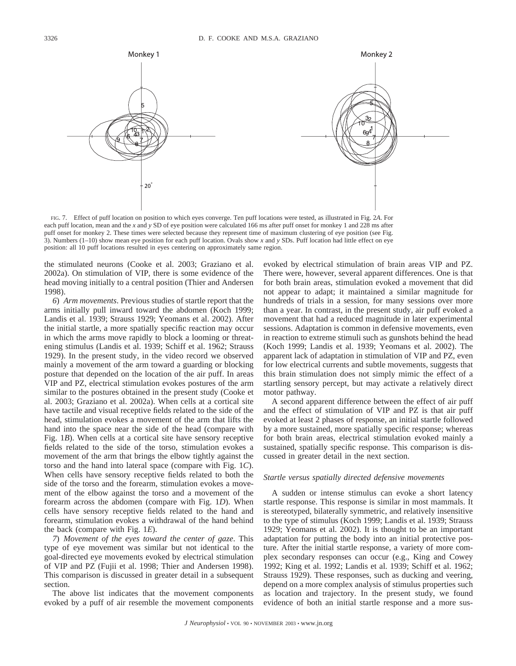

FIG. 7. Effect of puff location on position to which eyes converge. Ten puff locations were tested, as illustrated in Fig. 2*A*. For each puff location, mean and the *x* and *y* SD of eye position were calculated 166 ms after puff onset for monkey 1 and 228 ms after puff onset for monkey 2. These times were selected because they represent time of maximum clustering of eye position (see Fig. 3). Numbers (1–10) show mean eye position for each puff location. Ovals show *x* and *y* SDs. Puff location had little effect on eye position: all 10 puff locations resulted in eyes centering on approximately same region.

the stimulated neurons (Cooke et al. 2003; Graziano et al. 2002a). On stimulation of VIP, there is some evidence of the head moving initially to a central position (Thier and Andersen 1998).

*6*) *Arm movements*. Previous studies of startle report that the arms initially pull inward toward the abdomen (Koch 1999; Landis et al. 1939; Strauss 1929; Yeomans et al. 2002). After the initial startle, a more spatially specific reaction may occur in which the arms move rapidly to block a looming or threatening stimulus (Landis et al. 1939; Schiff et al. 1962; Strauss 1929). In the present study, in the video record we observed mainly a movement of the arm toward a guarding or blocking posture that depended on the location of the air puff. In areas VIP and PZ, electrical stimulation evokes postures of the arm similar to the postures obtained in the present study (Cooke et al. 2003; Graziano et al. 2002a). When cells at a cortical site have tactile and visual receptive fields related to the side of the head, stimulation evokes a movement of the arm that lifts the hand into the space near the side of the head (compare with Fig. 1*B*). When cells at a cortical site have sensory receptive fields related to the side of the torso, stimulation evokes a movement of the arm that brings the elbow tightly against the torso and the hand into lateral space (compare with Fig. 1*C*). When cells have sensory receptive fields related to both the side of the torso and the forearm, stimulation evokes a movement of the elbow against the torso and a movement of the forearm across the abdomen (compare with Fig. 1*D*). When cells have sensory receptive fields related to the hand and forearm, stimulation evokes a withdrawal of the hand behind the back (compare with Fig. 1*E*).

*7*) *Movement of the eyes toward the center of gaze*. This type of eye movement was similar but not identical to the goal-directed eye movements evoked by electrical stimulation of VIP and PZ (Fujii et al. 1998; Thier and Andersen 1998). This comparison is discussed in greater detail in a subsequent section.

The above list indicates that the movement components evoked by a puff of air resemble the movement components evoked by electrical stimulation of brain areas VIP and PZ. There were, however, several apparent differences. One is that for both brain areas, stimulation evoked a movement that did not appear to adapt; it maintained a similar magnitude for hundreds of trials in a session, for many sessions over more than a year. In contrast, in the present study, air puff evoked a movement that had a reduced magnitude in later experimental sessions. Adaptation is common in defensive movements, even in reaction to extreme stimuli such as gunshots behind the head (Koch 1999; Landis et al. 1939; Yeomans et al. 2002). The apparent lack of adaptation in stimulation of VIP and PZ, even for low electrical currents and subtle movements, suggests that this brain stimulation does not simply mimic the effect of a startling sensory percept, but may activate a relatively direct motor pathway.

A second apparent difference between the effect of air puff and the effect of stimulation of VIP and PZ is that air puff evoked at least 2 phases of response, an initial startle followed by a more sustained, more spatially specific response; whereas for both brain areas, electrical stimulation evoked mainly a sustained, spatially specific response. This comparison is discussed in greater detail in the next section.

#### *Startle versus spatially directed defensive movements*

A sudden or intense stimulus can evoke a short latency startle response. This response is similar in most mammals. It is stereotyped, bilaterally symmetric, and relatively insensitive to the type of stimulus (Koch 1999; Landis et al. 1939; Strauss 1929; Yeomans et al. 2002). It is thought to be an important adaptation for putting the body into an initial protective posture. After the initial startle response, a variety of more complex secondary responses can occur (e.g., King and Cowey 1992; King et al. 1992; Landis et al. 1939; Schiff et al. 1962; Strauss 1929). These responses, such as ducking and veering, depend on a more complex analysis of stimulus properties such as location and trajectory. In the present study, we found evidence of both an initial startle response and a more sus-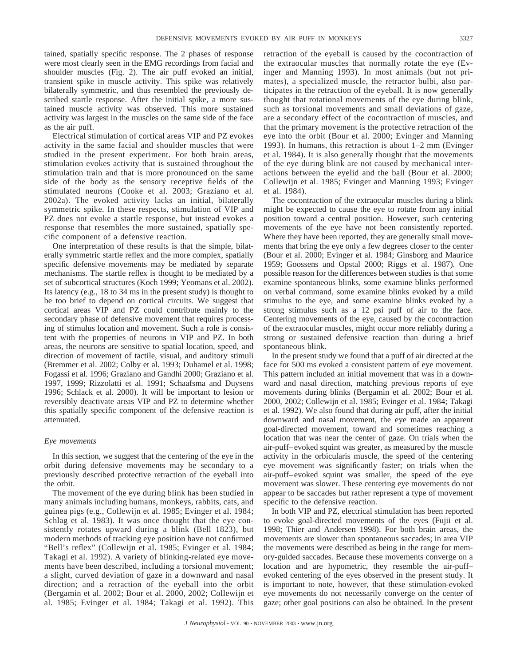tained, spatially specific response. The 2 phases of response were most clearly seen in the EMG recordings from facial and shoulder muscles (Fig. 2). The air puff evoked an initial, transient spike in muscle activity. This spike was relatively bilaterally symmetric, and thus resembled the previously described startle response. After the initial spike, a more sustained muscle activity was observed. This more sustained activity was largest in the muscles on the same side of the face as the air puff.

Electrical stimulation of cortical areas VIP and PZ evokes activity in the same facial and shoulder muscles that were studied in the present experiment. For both brain areas, stimulation evokes activity that is sustained throughout the stimulation train and that is more pronounced on the same side of the body as the sensory receptive fields of the stimulated neurons (Cooke et al. 2003; Graziano et al. 2002a). The evoked activity lacks an initial, bilaterally symmetric spike. In these respects, stimulation of VIP and PZ does not evoke a startle response, but instead evokes a response that resembles the more sustained, spatially specific component of a defensive reaction.

One interpretation of these results is that the simple, bilaterally symmetric startle reflex and the more complex, spatially specific defensive movements may be mediated by separate mechanisms. The startle reflex is thought to be mediated by a set of subcortical structures (Koch 1999; Yeomans et al. 2002). Its latency (e.g., 18 to 34 ms in the present study) is thought to be too brief to depend on cortical circuits. We suggest that cortical areas VIP and PZ could contribute mainly to the secondary phase of defensive movement that requires processing of stimulus location and movement. Such a role is consistent with the properties of neurons in VIP and PZ. In both areas, the neurons are sensitive to spatial location, speed, and direction of movement of tactile, visual, and auditory stimuli (Bremmer et al. 2002; Colby et al. 1993; Duhamel et al. 1998; Fogassi et al. 1996; Graziano and Gandhi 2000; Graziano et al. 1997, 1999; Rizzolatti et al. 1991; Schaafsma and Duysens 1996; Schlack et al. 2000). It will be important to lesion or reversibly deactivate areas VIP and PZ to determine whether this spatially specific component of the defensive reaction is attenuated.

### *Eye movements*

In this section, we suggest that the centering of the eye in the orbit during defensive movements may be secondary to a previously described protective retraction of the eyeball into the orbit.

The movement of the eye during blink has been studied in many animals including humans, monkeys, rabbits, cats, and guinea pigs (e.g., Collewijn et al. 1985; Evinger et al. 1984; Schlag et al. 1983). It was once thought that the eye consistently rotates upward during a blink (Bell 1823), but modern methods of tracking eye position have not confirmed "Bell's reflex" (Collewijn et al. 1985; Evinger et al. 1984; Takagi et al. 1992). A variety of blinking-related eye movements have been described, including a torsional movement; a slight, curved deviation of gaze in a downward and nasal direction; and a retraction of the eyeball into the orbit (Bergamin et al. 2002; Bour et al. 2000, 2002; Collewijn et al. 1985; Evinger et al. 1984; Takagi et al. 1992). This retraction of the eyeball is caused by the cocontraction of the extraocular muscles that normally rotate the eye (Evinger and Manning 1993). In most animals (but not primates), a specialized muscle, the retractor bulbi, also participates in the retraction of the eyeball. It is now generally thought that rotational movements of the eye during blink, such as torsional movements and small deviations of gaze, are a secondary effect of the cocontraction of muscles, and that the primary movement is the protective retraction of the eye into the orbit (Bour et al. 2000; Evinger and Manning 1993). In humans, this retraction is about 1–2 mm (Evinger et al. 1984). It is also generally thought that the movements of the eye during blink are not caused by mechanical interactions between the eyelid and the ball (Bour et al. 2000; Collewijn et al. 1985; Evinger and Manning 1993; Evinger et al. 1984).

The cocontraction of the extraocular muscles during a blink might be expected to cause the eye to rotate from any initial position toward a central position. However, such centering movements of the eye have not been consistently reported. Where they have been reported, they are generally small movements that bring the eye only a few degrees closer to the center (Bour et al. 2000; Evinger et al. 1984; Ginsborg and Maurice 1959; Goossens and Opstal 2000; Riggs et al. 1987). One possible reason for the differences between studies is that some examine spontaneous blinks, some examine blinks performed on verbal command, some examine blinks evoked by a mild stimulus to the eye, and some examine blinks evoked by a strong stimulus such as a 12 psi puff of air to the face. Centering movements of the eye, caused by the cocontraction of the extraocular muscles, might occur more reliably during a strong or sustained defensive reaction than during a brief spontaneous blink.

In the present study we found that a puff of air directed at the face for 500 ms evoked a consistent pattern of eye movement. This pattern included an initial movement that was in a downward and nasal direction, matching previous reports of eye movements during blinks (Bergamin et al. 2002; Bour et al. 2000, 2002; Collewijn et al. 1985; Evinger et al. 1984; Takagi et al. 1992). We also found that during air puff, after the initial downward and nasal movement, the eye made an apparent goal-directed movement, toward and sometimes reaching a location that was near the center of gaze. On trials when the air-puff–evoked squint was greater, as measured by the muscle activity in the orbicularis muscle, the speed of the centering eye movement was significantly faster; on trials when the air-puff–evoked squint was smaller, the speed of the eye movement was slower. These centering eye movements do not appear to be saccades but rather represent a type of movement specific to the defensive reaction.

In both VIP and PZ, electrical stimulation has been reported to evoke goal-directed movements of the eyes (Fujii et al. 1998; Thier and Andersen 1998). For both brain areas, the movements are slower than spontaneous saccades; in area VIP the movements were described as being in the range for memory-guided saccades. Because these movements converge on a location and are hypometric, they resemble the air-puff– evoked centering of the eyes observed in the present study. It is important to note, however, that these stimulation-evoked eye movements do not necessarily converge on the center of gaze; other goal positions can also be obtained. In the present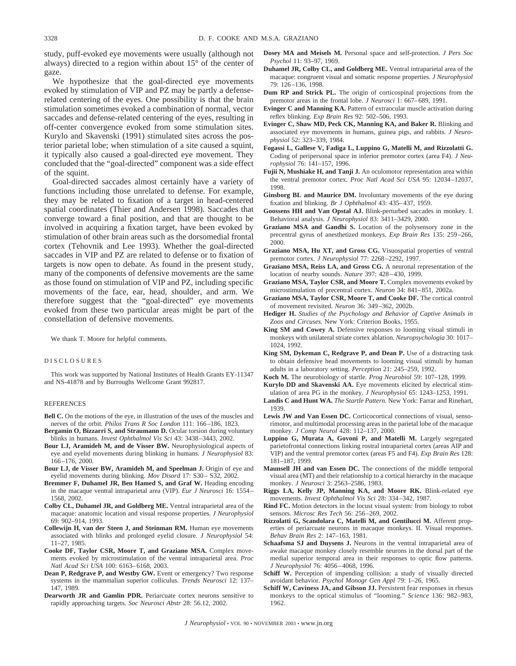study, puff-evoked eye movements were usually (although not always) directed to a region within about 15° of the center of gaze.

We hypothesize that the goal-directed eye movements evoked by stimulation of VIP and PZ may be partly a defenserelated centering of the eyes. One possibility is that the brain stimulation sometimes evoked a combination of normal, vector saccades and defense-related centering of the eyes, resulting in off-center convergence evoked from some stimulation sites. Kurylo and Skavenski (1991) stimulated sites across the posterior parietal lobe; when stimulation of a site caused a squint, it typically also caused a goal-directed eye movement. They concluded that the "goal-directed" component was a side effect of the squint.

Goal-directed saccades almost certainly have a variety of functions including those unrelated to defense. For example, they may be related to fixation of a target in head-centered spatial coordinates (Thier and Andersen 1998). Saccades that converge toward a final position, and that are thought to be involved in acquiring a fixation target, have been evoked by stimulation of other brain areas such as the dorsomedial frontal cortex (Tehovnik and Lee 1993). Whether the goal-directed saccades in VIP and PZ are related to defense or to fixation of targets is now open to debate. As found in the present study, many of the components of defensive movements are the same as those found on stimulation of VIP and PZ, including specific movements of the face, ear, head, shoulder, and arm. We therefore suggest that the "goal-directed" eye movements evoked from these two particular areas might be part of the constellation of defensive movements.

We thank T. Moore for helpful comments.

#### DISCLOSURES

This work was supported by National Institutes of Health Grants EY-11347 and NS-41878 and by Burroughs Wellcome Grant 992817.

#### REFERENCES

- **Bell C.** On the motions of the eye, in illustration of the uses of the muscles and nerves of the orbit. *Philos Trans R Soc London* 111: 166–186, 1823.
- **Bergamin O, Bizzarri S, and Straumann D.** Ocular torsion during voluntary blinks in humans. *Invest Ophthalmol Vis Sci* 43: 3438–3443, 2002.
- **Bour LJ, Aramideh M, and de Visser BW.** Neurophysiological aspects of eye and eyelid movements during blinking in humans. *J Neurophysiol* 83: 166–176, 2000.
- **Bour LJ, de Visser BW, Aramideh M, and Speelman J.** Origin of eye and eyelid movements during blinking. *Mov Disord* 17: S30– S32, 2002.
- **Bremmer F, Duhamel JR, Ben Hamed S, and Graf W.** Heading encoding in the macaque ventral intraparietal area (VIP). *Eur J Neurosci* 16: 1554– 1568, 2002.
- **Colby CL, Duhamel JR, and Goldberg ME.** Ventral intraparietal area of the macaque: anatomic location and visual response properties. *J Neurophysiol* 69: 902–914, 1993.
- **Collewijn H, van der Steen J, and Steinman RM.** Human eye movements associated with blinks and prolonged eyelid closure. *J Neurophysiol* 54: 11–27, 1985.
- **Cooke DF, Taylor CSR, Moore T, and Graziano MSA.** Complex movements evoked by microstimulation of the ventral intraparietal area. *Proc Natl Acad Sci USA* 100: 6163–6168, 2003.
- **Dean P, Redgrave P, and Westby GW.** Event or emergency? Two response systems in the mammalian superior colliculus. *Trends Neurosci* 12: 137– 147, 1989.
- **Dearworth JR and Gamlin PDR.** Periarcuate cortex neurons sensitive to rapidly approaching targets. *Soc Neurosci Abstr* 28: 56.12, 2002.
- **Dosey MA and Meisels M.** Personal space and self-protection. *J Pers Soc Psychol* 11: 93–97, 1969.
- **Duhamel JR, Colby CL, and Goldberg ME.** Ventral intraparietal area of the macaque: congruent visual and somatic response properties. *J Neurophysiol* 79: 126–136, 1998.
- **Dum RP and Strick PL.** The origin of corticospinal projections from the premotor areas in the frontal lobe. *J Neurosci* 1: 667–689, 1991.
- **Evinger C and Manning KA.** Pattern of extraocular muscle activation during reflex blinking. *Exp Brain Res* 92: 502–506, 1993.
- **Evinger C, Shaw MD, Peck CK, Manning KA, and Baker R.** Blinking and associated eye movements in humans, guinea pigs, and rabbits. *J Neurophysiol* 52: 323–339, 1984.
- **Fogassi L, Gallese V, Fadiga L, Luppino G, Matelli M, and Rizzolatti G.** Coding of peripersonal space in inferior premotor cortex (area F4). *J Neurophysiol* 76: 141–157, 1996.
- **Fujii N, Mushiake H, and Tanji J.** An oculomotor representation area within the ventral premotor cortex. *Proc Natl Acad Sci USA* 95: 12034–12037, 1998.
- **Ginsborg BL and Maurice DM.** Involuntary movements of the eye during fixation and blinking. *Br J Ophthalmol* 43: 435–437, 1959.
- **Goossens HH and Van Opstal AJ.** Blink-perturbed saccades in monkey. I. Behavioral analysis. *J Neurophysiol* 83: 3411–3429, 2000.
- **Graziano MSA and Gandhi S.** Location of the polysensory zone in the precentral gyrus of anesthetized monkeys. *Exp Brain Res* 135: 259–266, 2000.
- **Graziano MSA, Hu XT, and Gross CG.** Visuospatial properties of ventral premotor cortex. *J Neurophysiol* 77: 2268–2292, 1997.
- **Graziano MSA, Reiss LA, and Gross CG.** A neuronal representation of the location of nearby sounds. *Nature* 397: 428–430, 1999.
- **Graziano MSA, Taylor CSR, and Moore T.** Complex movements evoked by microstimulation of precentral cortex. *Neuron* 34: 841–851, 2002a.
- **Graziano MSA, Taylor CSR, Moore T, and Cooke DF.** The cortical control of movement revisited. *Neuron* 36: 349–362, 2002b.
- **Hediger H.** *Studies of the Psychology and Behavior of Captive Animals in Zoos and Circuses.* New York: Criterion Books, 1955.
- **King SM and Cowey A.** Defensive responses to looming visual stimuli in monkeys with unilateral striate cortex ablation. *Neuropsychologia* 30: 1017– 1024, 1992.
- **King SM, Dykeman C, Redgrave P, and Dean P.** Use of a distracting task to obtain defensive head movements to looming visual stimuli by human adults in a laboratory setting. *Perception* 21: 245–259, 1992.
- **Koch M.** The neurobiology of startle. *Prog Neurobiol* 59: 107–128, 1999.
- **Kurylo DD and Skavenski AA.** Eye movements elicited by electrical stimulation of area PG in the monkey. *J Neurophysiol* 65: 1243–1253, 1991.
- **Landis C and Hunt WA.** *The Startle Pattern.* New York: Farrar and Rinehart, 1939.
- Lewis JW and Van Essen DC. Corticocortical connections of visual, sensorimotor, and multimodal processing areas in the parietal lobe of the macaque monkey. *J Comp Neurol* 428: 112–137, 2000.
- **Luppino G, Murata A, Govoni P, and Matelli M.** Largely segregated parietofrontal connections linking rostral intraparietal cortex (areas AIP and VIP) and the ventral premotor cortex (areas F5 and F4). *Exp Brain Res* 128: 181–187, 1999.
- **Maunsell JH and van Essen DC.** The connections of the middle temporal visual area (MT) and their relationship to a cortical hierarchy in the macaque monkey. *J Neurosci* 3: 2563–2586, 1983.
- **Riggs LA, Kelly JP, Manning KA, and Moore RK.** Blink-related eye movements. *Invest Ophthalmol Vis Sci* 28: 334–342, 1987.
- **Rind FC.** Motion detectors in the locust visual system: from biology to robot sensors. *Microsc Res Tech* 56: 256–269, 2002.
- **Rizzolatti G, Scandolara C, Matelli M, and Gentilucci M.** Afferent properties of periarcuate neurons in macaque monkeys. II. Visual responses. *Behav Brain Res* 2: 147–163, 1981.
- **Schaafsma SJ and Duysens J.** Neurons in the ventral intraparietal area of awake macaque monkey closely resemble neurons in the dorsal part of the medial superior temporal area in their responses to optic flow patterns. *J Neurophysiol* 76: 4056–4068, 1996.
- Schiff W. Perception of impending collision: a study of visually directed avoidant behavior. *Psychol Monogr Gen Appl* 79: 1–26, 1965.
- **Schiff W, Caviness JA, and Gibson JJ.** Persistent fear responses in rhesus monkeys to the optical stimulus of "looming." *Science* 136: 982–983, 1962.